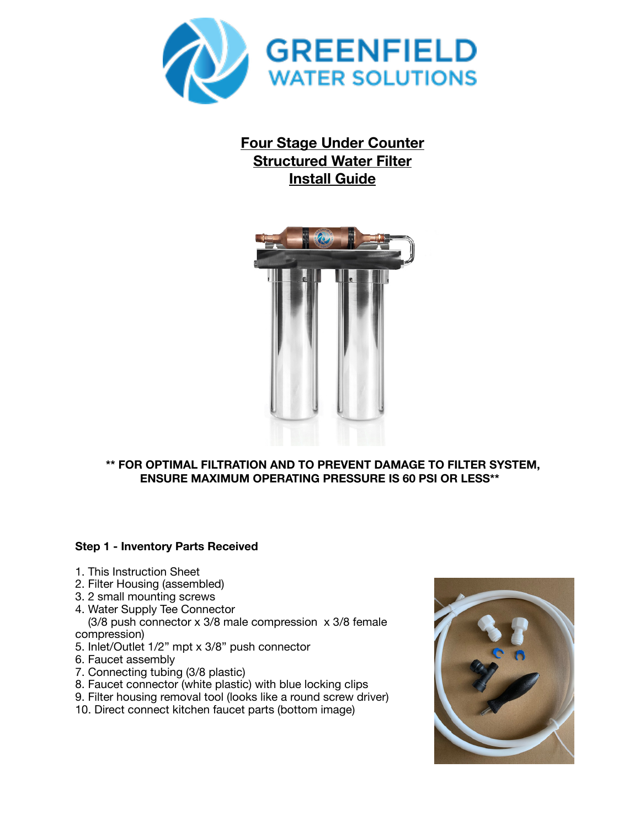

# **Four Stage Under Counter Structured Water Filter Install Guide**



## **\*\* FOR OPTIMAL FILTRATION AND TO PREVENT DAMAGE TO FILTER SYSTEM, ENSURE MAXIMUM OPERATING PRESSURE IS 60 PSI OR LESS\*\***

## **Step 1 - Inventory Parts Received**

- 1. This Instruction Sheet
- 2. Filter Housing (assembled)
- 3. 2 small mounting screws
- 4. Water Supply Tee Connector

 (3/8 push connector x 3/8 male compression x 3/8 female compression)

- 5. Inlet/Outlet 1/2" mpt x 3/8" push connector
- 6. Faucet assembly
- 7. Connecting tubing (3/8 plastic)
- 8. Faucet connector (white plastic) with blue locking clips
- 9. Filter housing removal tool (looks like a round screw driver)
- 10. Direct connect kitchen faucet parts (bottom image)

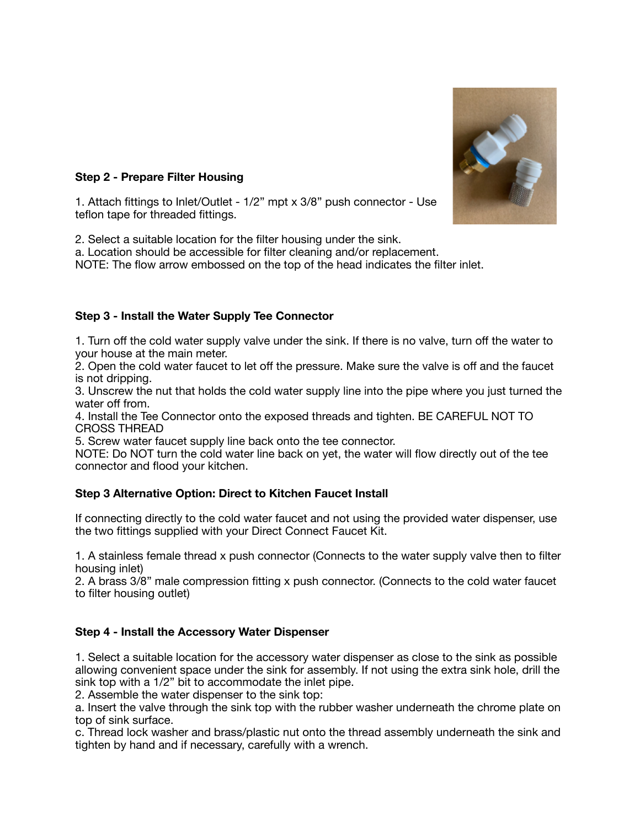

## **Step 2 - Prepare Filter Housing**

1. Attach fittings to Inlet/Outlet - 1/2" mpt x 3/8" push connector - Use teflon tape for threaded fittings.

2. Select a suitable location for the filter housing under the sink.

a. Location should be accessible for filter cleaning and/or replacement.

NOTE: The flow arrow embossed on the top of the head indicates the filter inlet.

# **Step 3 - Install the Water Supply Tee Connector**

1. Turn off the cold water supply valve under the sink. If there is no valve, turn off the water to your house at the main meter.

2. Open the cold water faucet to let off the pressure. Make sure the valve is off and the faucet is not dripping.

3. Unscrew the nut that holds the cold water supply line into the pipe where you just turned the water off from.

4. Install the Tee Connector onto the exposed threads and tighten. BE CAREFUL NOT TO CROSS THREAD

5. Screw water faucet supply line back onto the tee connector.

NOTE: Do NOT turn the cold water line back on yet, the water will flow directly out of the tee connector and flood your kitchen.

## **Step 3 Alternative Option: Direct to Kitchen Faucet Install**

If connecting directly to the cold water faucet and not using the provided water dispenser, use the two fittings supplied with your Direct Connect Faucet Kit.

1. A stainless female thread x push connector (Connects to the water supply valve then to filter housing inlet)

2. A brass 3/8" male compression fitting x push connector. (Connects to the cold water faucet to filter housing outlet)

## **Step 4 - Install the Accessory Water Dispenser**

1. Select a suitable location for the accessory water dispenser as close to the sink as possible allowing convenient space under the sink for assembly. If not using the extra sink hole, drill the sink top with a 1/2" bit to accommodate the inlet pipe.

2. Assemble the water dispenser to the sink top:

a. Insert the valve through the sink top with the rubber washer underneath the chrome plate on top of sink surface.

c. Thread lock washer and brass/plastic nut onto the thread assembly underneath the sink and tighten by hand and if necessary, carefully with a wrench.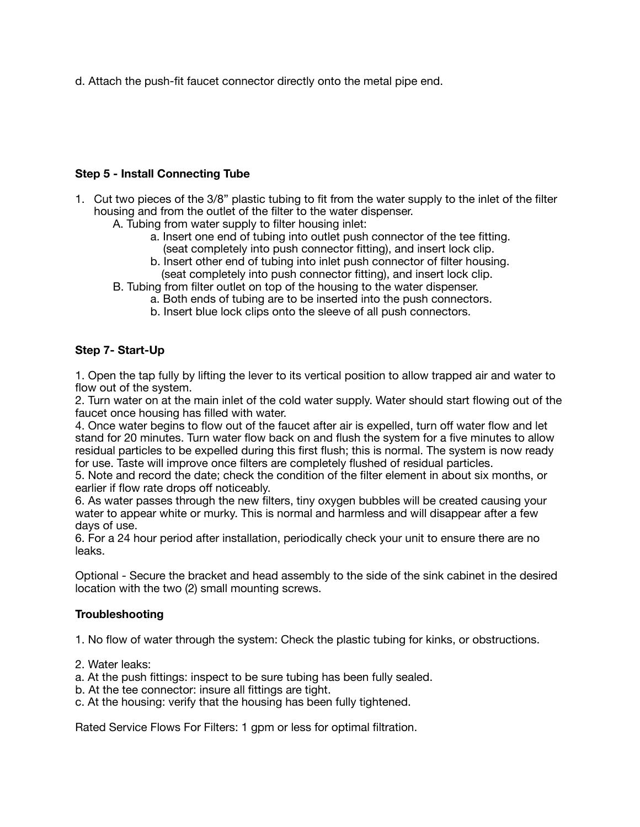d. Attach the push-fit faucet connector directly onto the metal pipe end.

#### **Step 5 - Install Connecting Tube**

- 1. Cut two pieces of the 3/8" plastic tubing to fit from the water supply to the inlet of the filter housing and from the outlet of the filter to the water dispenser.
	- A. Tubing from water supply to filter housing inlet:
		- a. Insert one end of tubing into outlet push connector of the tee fitting. (seat completely into push connector fitting), and insert lock clip.
		- b. Insert other end of tubing into inlet push connector of filter housing. (seat completely into push connector fitting), and insert lock clip.
	- B. Tubing from filter outlet on top of the housing to the water dispenser.
		- a. Both ends of tubing are to be inserted into the push connectors.
		- b. Insert blue lock clips onto the sleeve of all push connectors.

## **Step 7- Start-Up**

1. Open the tap fully by lifting the lever to its vertical position to allow trapped air and water to flow out of the system.

2. Turn water on at the main inlet of the cold water supply. Water should start flowing out of the faucet once housing has filled with water.

4. Once water begins to flow out of the faucet after air is expelled, turn off water flow and let stand for 20 minutes. Turn water flow back on and flush the system for a five minutes to allow residual particles to be expelled during this first flush; this is normal. The system is now ready for use. Taste will improve once filters are completely flushed of residual particles.

5. Note and record the date; check the condition of the filter element in about six months, or earlier if flow rate drops off noticeably.

6. As water passes through the new filters, tiny oxygen bubbles will be created causing your water to appear white or murky. This is normal and harmless and will disappear after a few days of use.

6. For a 24 hour period after installation, periodically check your unit to ensure there are no leaks.

Optional - Secure the bracket and head assembly to the side of the sink cabinet in the desired location with the two (2) small mounting screws.

#### **Troubleshooting**

1. No flow of water through the system: Check the plastic tubing for kinks, or obstructions.

- 2. Water leaks:
- a. At the push fittings: inspect to be sure tubing has been fully sealed.
- b. At the tee connector: insure all fittings are tight.
- c. At the housing: verify that the housing has been fully tightened.

Rated Service Flows For Filters: 1 gpm or less for optimal filtration.